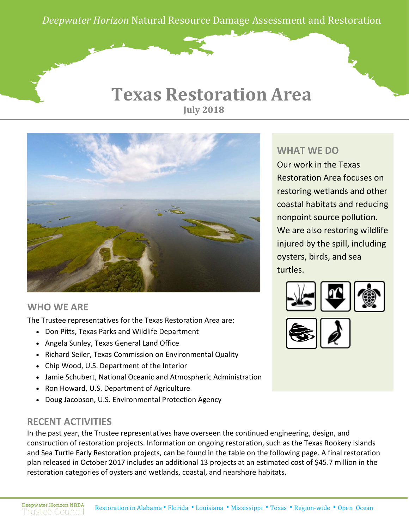*Deepwater Horizon* Natural Resource Damage Assessment and Restoration

### **Texas Restoration Area July 2018**



#### **WHO WE ARE**

The Trustee representatives for the Texas Restoration Area are:

- Don Pitts, Texas Parks and Wildlife Department
- Angela Sunley, Texas General Land Office
- Richard Seiler, Texas Commission on Environmental Quality
- Chip Wood, U.S. Department of the Interior
- Jamie Schubert, National Oceanic and Atmospheric Administration
- Ron Howard, U.S. Department of Agriculture
- Doug Jacobson, U.S. Environmental Protection Agency

### **RECENT ACTIVITIES**

In the past year, the Trustee representatives have overseen the continued engineering, design, and construction of restoration projects. Information on ongoing restoration, such as the Texas Rookery Islands and Sea Turtle Early Restoration projects, can be found in the table on the following page. A final restoration plan released in October 2017 includes an additional 13 projects at an estimated cost of \$45.7 million in the restoration categories of oysters and wetlands, coastal, and nearshore habitats.

### **WHAT WE DO**

Our work in the Texas Restoration Area focuses on restoring wetlands and other coastal habitats and reducing nonpoint source pollution. We are also restoring wildlife injured by the spill, including oysters, birds, and sea turtles.



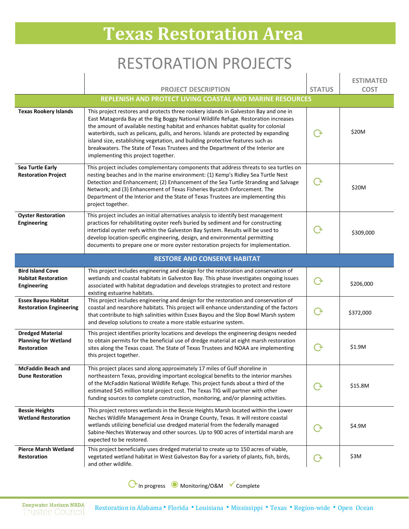# **Texas Restoration Area**

## RESTORATION PROJECTS

|                                                                              |                                                                                                                                                                                                                                                                                                                                                                                                                                                                                                                                                                     |                    | <b>ESTIMATED</b> |
|------------------------------------------------------------------------------|---------------------------------------------------------------------------------------------------------------------------------------------------------------------------------------------------------------------------------------------------------------------------------------------------------------------------------------------------------------------------------------------------------------------------------------------------------------------------------------------------------------------------------------------------------------------|--------------------|------------------|
|                                                                              | <b>PROJECT DESCRIPTION</b><br>REPLENISH AND PROTECT LIVING COASTAL AND MARINE RESOURCES                                                                                                                                                                                                                                                                                                                                                                                                                                                                             | <b>STATUS</b>      | <b>COST</b>      |
|                                                                              |                                                                                                                                                                                                                                                                                                                                                                                                                                                                                                                                                                     |                    |                  |
| <b>Texas Rookery Islands</b>                                                 | This project restores and protects three rookery islands in Galveston Bay and one in<br>East Matagorda Bay at the Big Boggy National Wildlife Refuge. Restoration increases<br>the amount of available nesting habitat and enhances habitat quality for colonial<br>waterbirds, such as pelicans, gulls, and herons. Islands are protected by expanding<br>island size, establishing vegetation, and building protective features such as<br>breakwaters. The State of Texas Trustees and the Department of the Interior are<br>implementing this project together. | ( →                | \$20M            |
| <b>Sea Turtle Early</b><br><b>Restoration Project</b>                        | This project includes complementary components that address threats to sea turtles on<br>nesting beaches and in the marine environment: (1) Kemp's Ridley Sea Turtle Nest<br>Detection and Enhancement; (2) Enhancement of the Sea Turtle Stranding and Salvage<br>Network; and (3) Enhancement of Texas Fisheries Bycatch Enforcement. The<br>Department of the Interior and the State of Texas Trustees are implementing this<br>project together.                                                                                                                | $\Theta$           | \$20M            |
| <b>Oyster Restoration</b><br><b>Engineering</b>                              | This project includes an initial alternatives analysis to identify best management<br>practices for rehabilitating oyster reefs buried by sediment and for constructing<br>intertidal oyster reefs within the Galveston Bay System. Results will be used to<br>develop location-specific engineering, design, and environmental permitting<br>documents to prepare one or more oyster restoration projects for implementation.                                                                                                                                      |                    | \$309,000        |
|                                                                              | <b>RESTORE AND CONSERVE HABITAT</b>                                                                                                                                                                                                                                                                                                                                                                                                                                                                                                                                 |                    |                  |
| <b>Bird Island Cove</b><br><b>Habitat Restoration</b><br><b>Engineering</b>  | This project includes engineering and design for the restoration and conservation of<br>wetlands and coastal habitats in Galveston Bay. This phase investigates ongoing issues<br>associated with habitat degradation and develops strategies to protect and restore<br>existing estuarine habitats.                                                                                                                                                                                                                                                                | $\dot{\mathbf{y}}$ | \$206,000        |
| <b>Essex Bayou Habitat</b><br><b>Restoration Engineering</b>                 | This project includes engineering and design for the restoration and conservation of<br>coastal and nearshore habitats. This project will enhance understanding of the factors<br>that contribute to high salinities within Essex Bayou and the Slop Bowl Marsh system<br>and develop solutions to create a more stable estuarine system.                                                                                                                                                                                                                           |                    | \$372,000        |
| <b>Dredged Material</b><br><b>Planning for Wetland</b><br><b>Restoration</b> | This project identifies priority locations and develops the engineering designs needed<br>to obtain permits for the beneficial use of dredge material at eight marsh restoration<br>sites along the Texas coast. The State of Texas Trustees and NOAA are implementing<br>this project together.                                                                                                                                                                                                                                                                    |                    | \$1.9M           |
| <b>McFaddin Beach and</b><br><b>Dune Restoration</b>                         | This project places sand along approximately 17 miles of Gulf shoreline in<br>northeastern Texas, providing important ecological benefits to the interior marshes<br>of the McFaddin National Wildlife Refuge. This project funds about a third of the<br>estimated \$45 million total project cost. The Texas TIG will partner with other<br>funding sources to complete construction, monitoring, and/or planning activities.                                                                                                                                     | ে ১                | \$15.8M          |
| <b>Bessie Heights</b><br><b>Wetland Restoration</b>                          | This project restores wetlands in the Bessie Heights Marsh located within the Lower<br>Neches Wildlife Management Area in Orange County, Texas. It will restore coastal<br>wetlands utilizing beneficial use dredged material from the federally managed<br>Sabine-Neches Waterway and other sources. Up to 900 acres of intertidal marsh are<br>expected to be restored.                                                                                                                                                                                           |                    | \$4.9M           |
| <b>Pierce Marsh Wetland</b><br>Restoration                                   | This project beneficially uses dredged material to create up to 150 acres of viable,<br>vegetated wetland habitat in West Galveston Bay for a variety of plants, fish, birds,<br>and other wildlife.                                                                                                                                                                                                                                                                                                                                                                | $\rm{C}$           | \$3M             |

⟳In progress ◉ Monitoring/O&M Complete